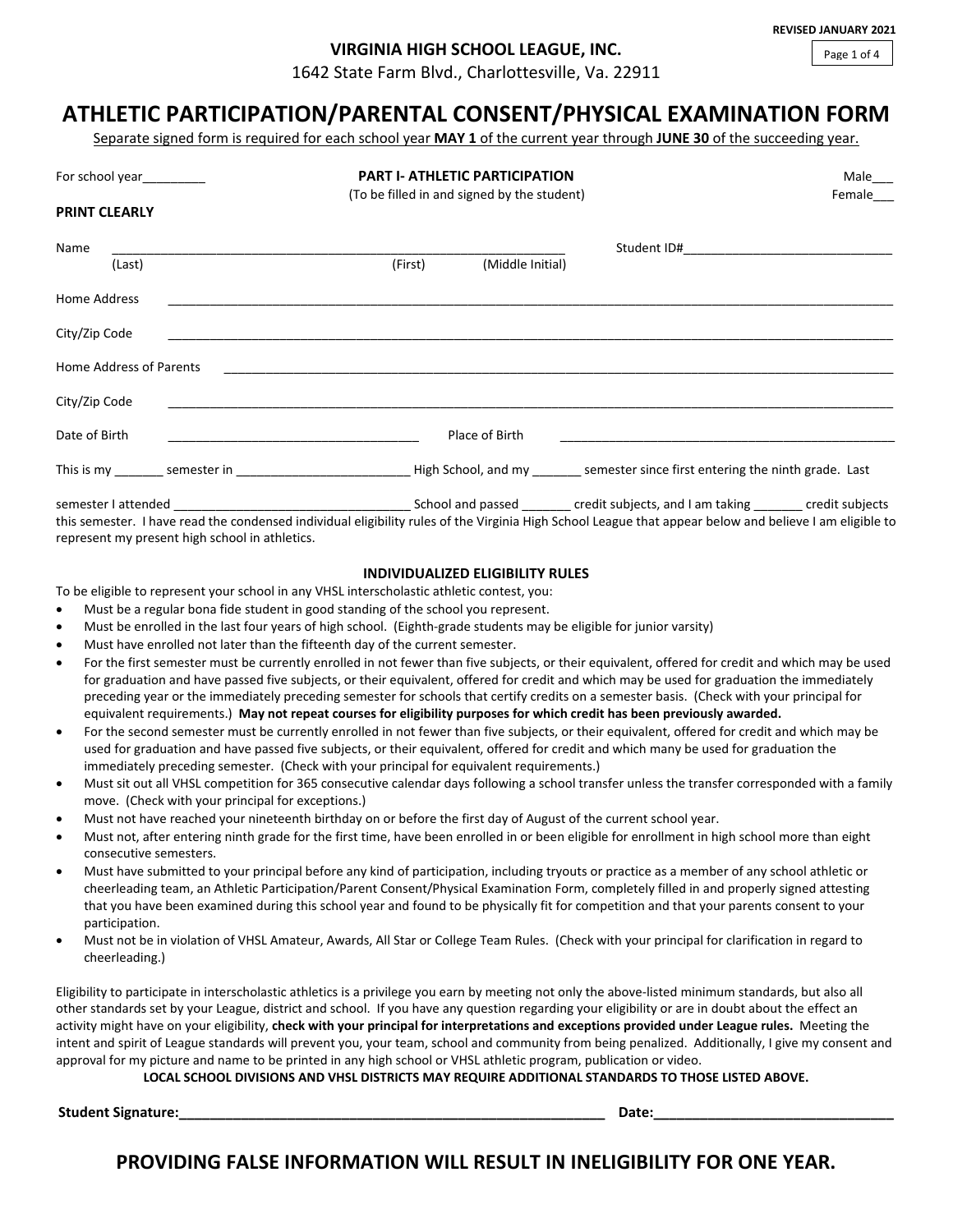**REVISED JANUARY 2021**

Page 1 of 4

# **VIRGINIA HIGH SCHOOL LEAGUE, INC.**

1642 State Farm Blvd., Charlottesville, Va. 22911

# **ATHLETIC PARTICIPATION/PARENTAL CONSENT/PHYSICAL EXAMINATION FORM**

Separate signed form is required for each school year **MAY 1** of the current year through **JUNE 30** of the succeeding year.

|                         | <b>PART I- ATHLETIC PARTICIPATION</b><br>For school year_________<br>(To be filled in and signed by the student) |                                                                                                                      |                  |                                                                                                                                                         | Male___<br>Female___ |  |  |
|-------------------------|------------------------------------------------------------------------------------------------------------------|----------------------------------------------------------------------------------------------------------------------|------------------|---------------------------------------------------------------------------------------------------------------------------------------------------------|----------------------|--|--|
| <b>PRINT CLEARLY</b>    |                                                                                                                  |                                                                                                                      |                  |                                                                                                                                                         |                      |  |  |
| Name                    |                                                                                                                  |                                                                                                                      |                  |                                                                                                                                                         |                      |  |  |
| (Last)                  |                                                                                                                  | (First)                                                                                                              | (Middle Initial) |                                                                                                                                                         |                      |  |  |
| Home Address            |                                                                                                                  |                                                                                                                      |                  |                                                                                                                                                         |                      |  |  |
| City/Zip Code           |                                                                                                                  |                                                                                                                      |                  |                                                                                                                                                         |                      |  |  |
| Home Address of Parents |                                                                                                                  | <u> 1980 - Jan Samuel Barbara, margaret e populari e populari e populari e populari e populari e populari e popu</u> |                  |                                                                                                                                                         |                      |  |  |
| City/Zip Code           |                                                                                                                  |                                                                                                                      |                  |                                                                                                                                                         |                      |  |  |
| Date of Birth           |                                                                                                                  |                                                                                                                      | Place of Birth   |                                                                                                                                                         |                      |  |  |
|                         |                                                                                                                  |                                                                                                                      |                  |                                                                                                                                                         |                      |  |  |
|                         |                                                                                                                  |                                                                                                                      |                  |                                                                                                                                                         |                      |  |  |
|                         |                                                                                                                  |                                                                                                                      |                  | this semester. I have read the condensed individual eligibility rules of the Virginia High School League that appear below and believe I am eligible to |                      |  |  |

**INDIVIDUALIZED ELIGIBILITY RULES**

To be eligible to represent your school in any VHSL interscholastic athletic contest, you:

- Must be a regular bona fide student in good standing of the school you represent.
- Must be enrolled in the last four years of high school. (Eighth-grade students may be eligible for junior varsity)
- Must have enrolled not later than the fifteenth day of the current semester.

represent my present high school in athletics.

- For the first semester must be currently enrolled in not fewer than five subjects, or their equivalent, offered for credit and which may be used for graduation and have passed five subjects, or their equivalent, offered for credit and which may be used for graduation the immediately preceding year or the immediately preceding semester for schools that certify credits on a semester basis. (Check with your principal for equivalent requirements.) **May not repeat courses for eligibility purposes for which credit has been previously awarded.**
- For the second semester must be currently enrolled in not fewer than five subjects, or their equivalent, offered for credit and which may be used for graduation and have passed five subjects, or their equivalent, offered for credit and which many be used for graduation the immediately preceding semester. (Check with your principal for equivalent requirements.)
- Must sit out all VHSL competition for 365 consecutive calendar days following a school transfer unless the transfer corresponded with a family move. (Check with your principal for exceptions.)
- Must not have reached your nineteenth birthday on or before the first day of August of the current school year.
- Must not, after entering ninth grade for the first time, have been enrolled in or been eligible for enrollment in high school more than eight consecutive semesters.
- Must have submitted to your principal before any kind of participation, including tryouts or practice as a member of any school athletic or cheerleading team, an Athletic Participation/Parent Consent/Physical Examination Form, completely filled in and properly signed attesting that you have been examined during this school year and found to be physically fit for competition and that your parents consent to your participation.
- Must not be in violation of VHSL Amateur, Awards, All Star or College Team Rules. (Check with your principal for clarification in regard to cheerleading.)

Eligibility to participate in interscholastic athletics is a privilege you earn by meeting not only the above-listed minimum standards, but also all other standards set by your League, district and school. If you have any question regarding your eligibility or are in doubt about the effect an activity might have on your eligibility, **check with your principal for interpretations and exceptions provided under League rules.** Meeting the intent and spirit of League standards will prevent you, your team, school and community from being penalized. Additionally, I give my consent and approval for my picture and name to be printed in any high school or VHSL athletic program, publication or video.

**LOCAL SCHOOL DIVISIONS AND VHSL DISTRICTS MAY REQUIRE ADDITIONAL STANDARDS TO THOSE LISTED ABOVE.**

**Student Signature:\_\_\_\_\_\_\_\_\_\_\_\_\_\_\_\_\_\_\_\_\_\_\_\_\_\_\_\_\_\_\_\_\_\_\_\_\_\_\_\_\_\_\_\_\_\_\_\_\_\_\_\_\_\_\_ Date:\_\_\_\_\_\_\_\_\_\_\_\_\_\_\_\_\_\_\_\_\_\_\_\_\_\_\_\_\_\_\_**

**PROVIDING FALSE INFORMATION WILL RESULT IN INELIGIBILITY FOR ONE YEAR.**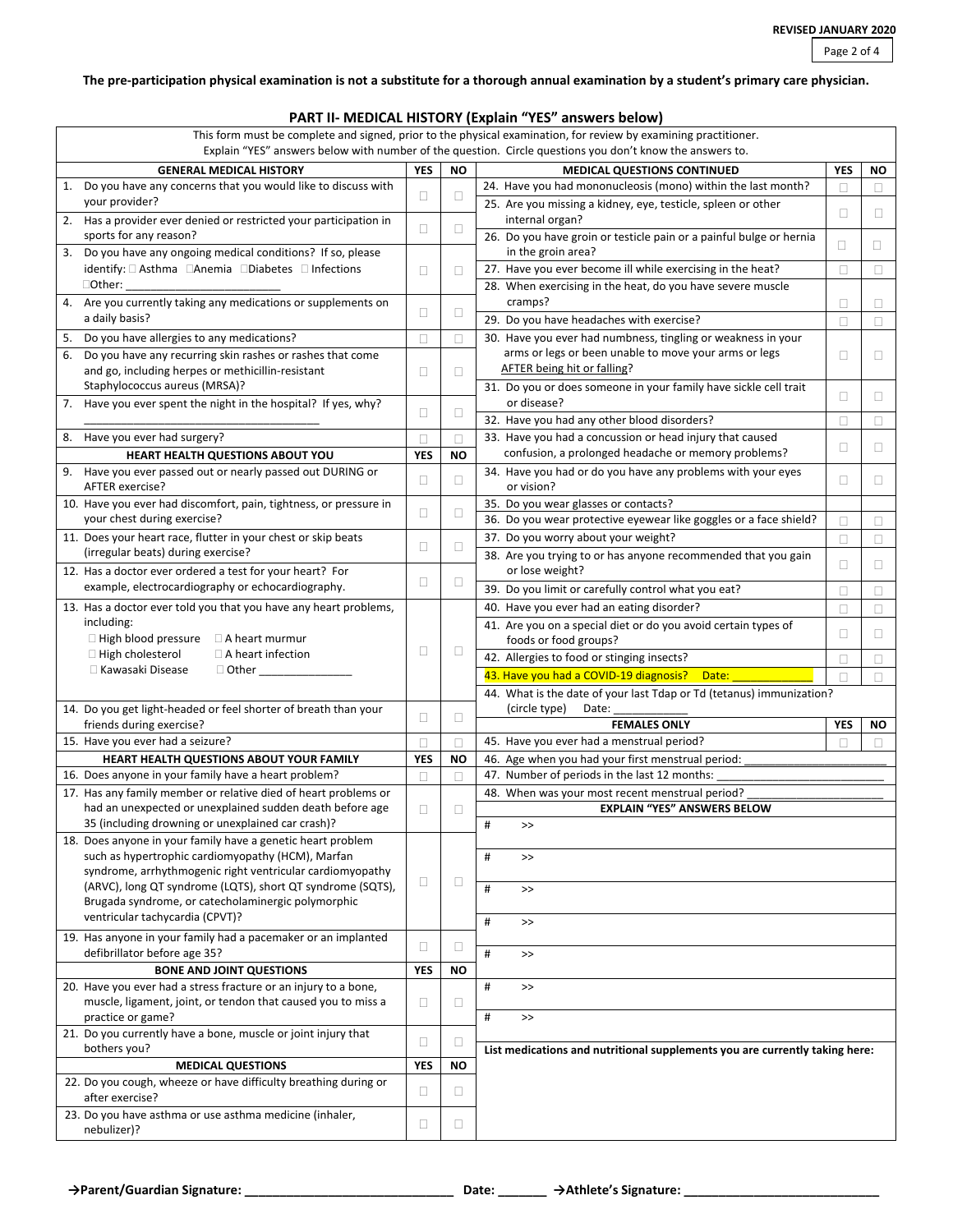## **The pre-participation physical examination is not a substitute for a thorough annual examination by a student's primary care physician.**

# **PART II- MEDICAL HISTORY (Explain "YES" answers below)**

| This form must be complete and signed, prior to the physical examination, for review by examining practitioner.<br>Explain "YES" answers below with number of the question. Circle questions you don't know the answers to. |            |           |                                                                             |            |        |  |  |  |
|-----------------------------------------------------------------------------------------------------------------------------------------------------------------------------------------------------------------------------|------------|-----------|-----------------------------------------------------------------------------|------------|--------|--|--|--|
| <b>GENERAL MEDICAL HISTORY</b>                                                                                                                                                                                              | <b>YES</b> | ΝO        | <b>MEDICAL QUESTIONS CONTINUED</b>                                          | <b>YES</b> | ΝO     |  |  |  |
| Do you have any concerns that you would like to discuss with<br>1.                                                                                                                                                          |            |           | 24. Have you had mononucleosis (mono) within the last month?                | П          | П      |  |  |  |
| your provider?                                                                                                                                                                                                              | □          | $\Box$    | 25. Are you missing a kidney, eye, testicle, spleen or other                |            |        |  |  |  |
| Has a provider ever denied or restricted your participation in<br>2.                                                                                                                                                        |            |           | internal organ?                                                             | $\Box$     | $\Box$ |  |  |  |
| sports for any reason?                                                                                                                                                                                                      | □          | $\Box$    | 26. Do you have groin or testicle pain or a painful bulge or hernia         |            |        |  |  |  |
| Do you have any ongoing medical conditions? If so, please<br>3.                                                                                                                                                             |            |           | in the groin area?                                                          | $\Box$     | O      |  |  |  |
| identify: □ Asthma □ Anemia □ Diabetes □ Infections                                                                                                                                                                         | □          | O         | 27. Have you ever become ill while exercising in the heat?                  | $\Box$     | П      |  |  |  |
| $\Box$ Other:                                                                                                                                                                                                               |            |           | 28. When exercising in the heat, do you have severe muscle                  |            |        |  |  |  |
| 4. Are you currently taking any medications or supplements on                                                                                                                                                               |            |           | cramps?                                                                     | □          | Ц      |  |  |  |
| a daily basis?                                                                                                                                                                                                              | $\Box$     | $\Box$    | 29. Do you have headaches with exercise?                                    | $\Box$     | $\Box$ |  |  |  |
| Do you have allergies to any medications?<br>5.                                                                                                                                                                             | $\Box$     | $\Box$    | 30. Have you ever had numbness, tingling or weakness in your                |            |        |  |  |  |
| Do you have any recurring skin rashes or rashes that come<br>6.                                                                                                                                                             |            |           | arms or legs or been unable to move your arms or legs                       | $\Box$     | □      |  |  |  |
| and go, including herpes or methicillin-resistant                                                                                                                                                                           | □          | $\Box$    | <b>AFTER being hit or falling?</b>                                          |            |        |  |  |  |
| Staphylococcus aureus (MRSA)?                                                                                                                                                                                               |            |           | 31. Do you or does someone in your family have sickle cell trait            |            |        |  |  |  |
| Have you ever spent the night in the hospital? If yes, why?<br>7.                                                                                                                                                           |            |           | or disease?                                                                 | O          | □.     |  |  |  |
|                                                                                                                                                                                                                             | $\Box$     | $\Box$    | 32. Have you had any other blood disorders?                                 | П          | □      |  |  |  |
| 8. Have you ever had surgery?                                                                                                                                                                                               | $\Box$     | O.        | 33. Have you had a concussion or head injury that caused                    |            |        |  |  |  |
| HEART HEALTH QUESTIONS ABOUT YOU                                                                                                                                                                                            | <b>YES</b> | <b>NO</b> | confusion, a prolonged headache or memory problems?                         | □          | $\Box$ |  |  |  |
| 9. Have you ever passed out or nearly passed out DURING or                                                                                                                                                                  |            |           | 34. Have you had or do you have any problems with your eyes                 |            |        |  |  |  |
| AFTER exercise?                                                                                                                                                                                                             | $\Box$     | $\Box$    | or vision?                                                                  | $\Box$     | 0      |  |  |  |
| 10. Have you ever had discomfort, pain, tightness, or pressure in                                                                                                                                                           |            |           | 35. Do you wear glasses or contacts?                                        |            |        |  |  |  |
| your chest during exercise?                                                                                                                                                                                                 | □          | $\Box$    | 36. Do you wear protective eyewear like goggles or a face shield?           | □          | □      |  |  |  |
| 11. Does your heart race, flutter in your chest or skip beats                                                                                                                                                               |            |           | 37. Do you worry about your weight?                                         | $\Box$     | □      |  |  |  |
| (irregular beats) during exercise?                                                                                                                                                                                          | $\Box$     | $\Box$    | 38. Are you trying to or has anyone recommended that you gain               |            |        |  |  |  |
| 12. Has a doctor ever ordered a test for your heart? For                                                                                                                                                                    |            |           | or lose weight?                                                             | O.         | $\Box$ |  |  |  |
| example, electrocardiography or echocardiography.                                                                                                                                                                           | □          | $\Box$    | 39. Do you limit or carefully control what you eat?                         | □          | □      |  |  |  |
| 13. Has a doctor ever told you that you have any heart problems,                                                                                                                                                            |            |           | 40. Have you ever had an eating disorder?                                   | $\Box$     | □      |  |  |  |
| including:                                                                                                                                                                                                                  |            |           | 41. Are you on a special diet or do you avoid certain types of              |            |        |  |  |  |
| $\Box$ High blood pressure $\Box$ A heart murmur                                                                                                                                                                            |            |           | foods or food groups?                                                       | O          | □      |  |  |  |
| $\Box$ High cholesterol<br>$\Box$ A heart infection                                                                                                                                                                         | $\Box$     | $\Box$    | 42. Allergies to food or stinging insects?                                  | □          | □      |  |  |  |
| □ Kawasaki Disease                                                                                                                                                                                                          |            |           | 43. Have you had a COVID-19 diagnosis?<br>Date:                             | П          |        |  |  |  |
|                                                                                                                                                                                                                             |            |           | 44. What is the date of your last Tdap or Td (tetanus) immunization?        |            |        |  |  |  |
| 14. Do you get light-headed or feel shorter of breath than your                                                                                                                                                             |            |           | (circle type)<br>Date:                                                      |            |        |  |  |  |
| friends during exercise?                                                                                                                                                                                                    | $\Box$     | $\Box$    | <b>FEMALES ONLY</b>                                                         | <b>YES</b> | ΝO     |  |  |  |
| 15. Have you ever had a seizure?                                                                                                                                                                                            | $\Box$     | O         | 45. Have you ever had a menstrual period?                                   |            |        |  |  |  |
| <b>HEART HEALTH QUESTIONS ABOUT YOUR FAMILY</b>                                                                                                                                                                             | <b>YES</b> | <b>NO</b> | 46. Age when you had your first menstrual period:                           |            |        |  |  |  |
| 16. Does anyone in your family have a heart problem?                                                                                                                                                                        |            | п         | 47. Number of periods in the last 12 months:                                |            |        |  |  |  |
| 17. Has any family member or relative died of heart problems or                                                                                                                                                             |            |           | 48. When was your most recent menstrual period?                             |            |        |  |  |  |
| had an unexpected or unexplained sudden death before age                                                                                                                                                                    | □          | O.        | <b>EXPLAIN "YES" ANSWERS BELOW</b>                                          |            |        |  |  |  |
| 35 (including drowning or unexplained car crash)?                                                                                                                                                                           |            |           | #<br>$\rightarrow$                                                          |            |        |  |  |  |
| 18. Does anyone in your family have a genetic heart problem<br>such as hypertrophic cardiomyopathy (HCM), Marfan                                                                                                            |            |           |                                                                             |            |        |  |  |  |
| syndrome, arrhythmogenic right ventricular cardiomyopathy                                                                                                                                                                   |            |           | $\#$<br>$\,>$                                                               |            |        |  |  |  |
| (ARVC), long QT syndrome (LQTS), short QT syndrome (SQTS),                                                                                                                                                                  | $\Box$     | $\Box$    | #<br>$\boldsymbol{>>}$                                                      |            |        |  |  |  |
| Brugada syndrome, or catecholaminergic polymorphic                                                                                                                                                                          |            |           |                                                                             |            |        |  |  |  |
| ventricular tachycardia (CPVT)?                                                                                                                                                                                             |            |           | #<br>$\,>$                                                                  |            |        |  |  |  |
| 19. Has anyone in your family had a pacemaker or an implanted                                                                                                                                                               |            |           |                                                                             |            |        |  |  |  |
| defibrillator before age 35?                                                                                                                                                                                                | $\Box$     | $\Box$    | #<br>$\,>$                                                                  |            |        |  |  |  |
| <b>BONE AND JOINT QUESTIONS</b>                                                                                                                                                                                             | <b>YES</b> | NO        |                                                                             |            |        |  |  |  |
| 20. Have you ever had a stress fracture or an injury to a bone,                                                                                                                                                             |            |           | $\#$<br>$\,>$                                                               |            |        |  |  |  |
| muscle, ligament, joint, or tendon that caused you to miss a                                                                                                                                                                | $\Box$     | $\Box$    |                                                                             |            |        |  |  |  |
| practice or game?                                                                                                                                                                                                           |            |           | $\#$<br>$\,>$                                                               |            |        |  |  |  |
| 21. Do you currently have a bone, muscle or joint injury that                                                                                                                                                               | $\Box$     |           |                                                                             |            |        |  |  |  |
| bothers you?                                                                                                                                                                                                                |            | $\Box$    | List medications and nutritional supplements you are currently taking here: |            |        |  |  |  |
| <b>MEDICAL QUESTIONS</b>                                                                                                                                                                                                    |            | NO        |                                                                             |            |        |  |  |  |
| 22. Do you cough, wheeze or have difficulty breathing during or                                                                                                                                                             | □          | $\Box$    |                                                                             |            |        |  |  |  |
| after exercise?                                                                                                                                                                                                             |            |           |                                                                             |            |        |  |  |  |
| 23. Do you have asthma or use asthma medicine (inhaler,<br>nebulizer)?                                                                                                                                                      | □          | $\Box$    |                                                                             |            |        |  |  |  |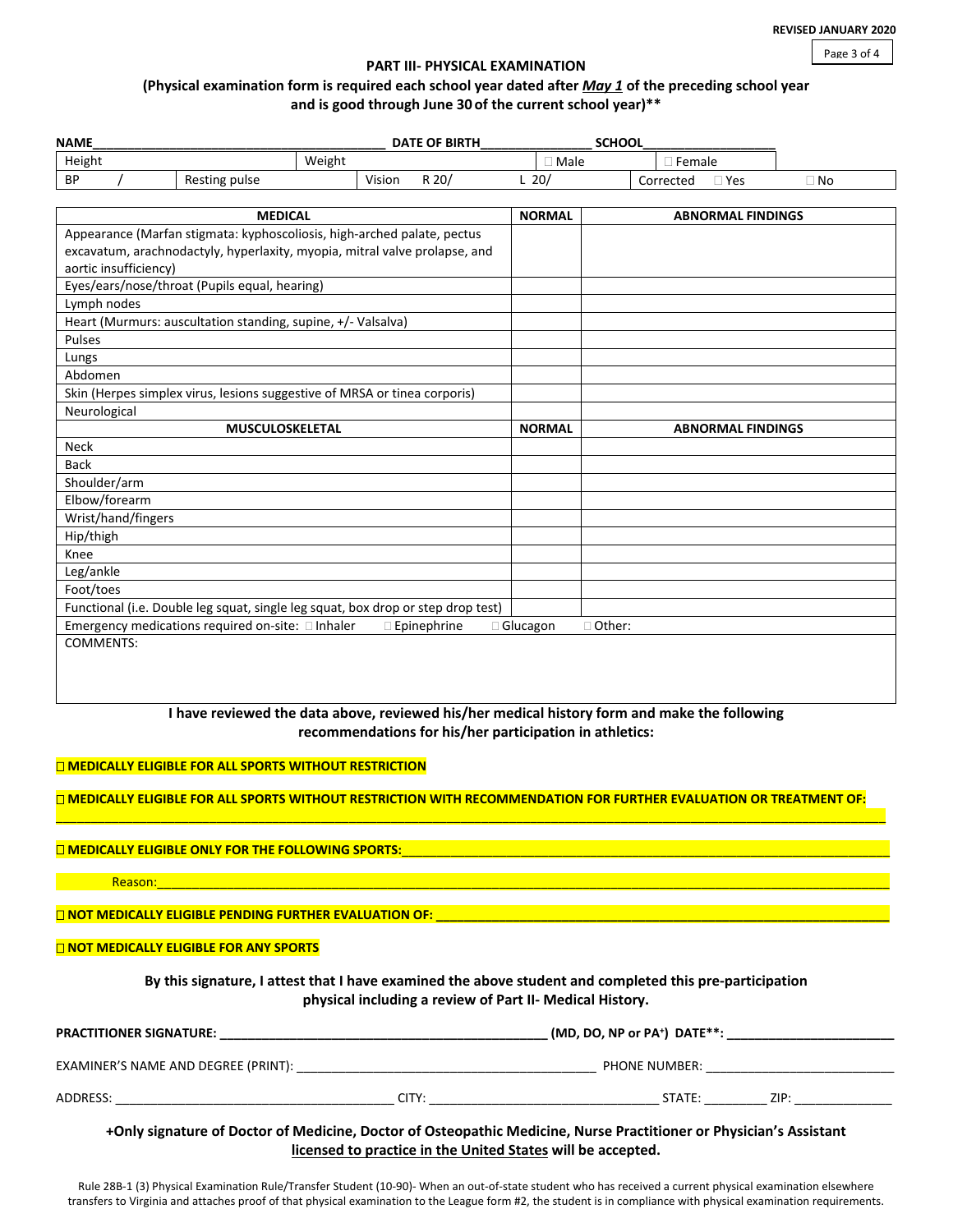Page 3 of 4

#### **PART III- PHYSICAL EXAMINATION**

# **(Physical examination form is required each school year dated after** *May 1* **of the preceding school year and is good through June 30 of the current school year)\*\***

| <b>NAME</b>           | <b>SCHOOL</b><br><b>DATE OF BIRTH</b><br>Weight                                                                            |        |                                                         |               |          |               |                          |           |
|-----------------------|----------------------------------------------------------------------------------------------------------------------------|--------|---------------------------------------------------------|---------------|----------|---------------|--------------------------|-----------|
| Height                |                                                                                                                            |        |                                                         | $\Box$ Male   |          | $\Box$ Female |                          |           |
| <b>BP</b>             | Resting pulse                                                                                                              | Vision | R 20/                                                   | $L$ 20/       |          | Corrected     | $\Box$ Yes               | $\Box$ No |
|                       | <b>MEDICAL</b>                                                                                                             |        |                                                         | <b>NORMAL</b> |          |               | <b>ABNORMAL FINDINGS</b> |           |
|                       | Appearance (Marfan stigmata: kyphoscoliosis, high-arched palate, pectus                                                    |        |                                                         |               |          |               |                          |           |
|                       | excavatum, arachnodactyly, hyperlaxity, myopia, mitral valve prolapse, and                                                 |        |                                                         |               |          |               |                          |           |
| aortic insufficiency) |                                                                                                                            |        |                                                         |               |          |               |                          |           |
|                       | Eyes/ears/nose/throat (Pupils equal, hearing)                                                                              |        |                                                         |               |          |               |                          |           |
| Lymph nodes           |                                                                                                                            |        |                                                         |               |          |               |                          |           |
|                       | Heart (Murmurs: auscultation standing, supine, +/- Valsalva)                                                               |        |                                                         |               |          |               |                          |           |
| Pulses                |                                                                                                                            |        |                                                         |               |          |               |                          |           |
| Lungs                 |                                                                                                                            |        |                                                         |               |          |               |                          |           |
| Abdomen               |                                                                                                                            |        |                                                         |               |          |               |                          |           |
|                       | Skin (Herpes simplex virus, lesions suggestive of MRSA or tinea corporis)                                                  |        |                                                         |               |          |               |                          |           |
| Neurological          |                                                                                                                            |        |                                                         |               |          |               |                          |           |
|                       | <b>MUSCULOSKELETAL</b>                                                                                                     |        |                                                         | <b>NORMAL</b> |          |               | <b>ABNORMAL FINDINGS</b> |           |
| <b>Neck</b>           |                                                                                                                            |        |                                                         |               |          |               |                          |           |
| <b>Back</b>           |                                                                                                                            |        |                                                         |               |          |               |                          |           |
| Shoulder/arm          |                                                                                                                            |        |                                                         |               |          |               |                          |           |
| Elbow/forearm         |                                                                                                                            |        |                                                         |               |          |               |                          |           |
| Wrist/hand/fingers    |                                                                                                                            |        |                                                         |               |          |               |                          |           |
| Hip/thigh             |                                                                                                                            |        |                                                         |               |          |               |                          |           |
| Knee                  |                                                                                                                            |        |                                                         |               |          |               |                          |           |
| Leg/ankle             |                                                                                                                            |        |                                                         |               |          |               |                          |           |
| Foot/toes             |                                                                                                                            |        |                                                         |               |          |               |                          |           |
|                       | Functional (i.e. Double leg squat, single leg squat, box drop or step drop test)                                           |        |                                                         |               |          |               |                          |           |
|                       | Emergency medications required on-site: Inhaler                                                                            |        | $\square$ Epinephrine                                   | □ Glucagon    | □ Other: |               |                          |           |
| <b>COMMENTS:</b>      |                                                                                                                            |        |                                                         |               |          |               |                          |           |
|                       |                                                                                                                            |        |                                                         |               |          |               |                          |           |
|                       |                                                                                                                            |        |                                                         |               |          |               |                          |           |
|                       |                                                                                                                            |        |                                                         |               |          |               |                          |           |
|                       | I have reviewed the data above, reviewed his/her medical history form and make the following                               |        |                                                         |               |          |               |                          |           |
|                       |                                                                                                                            |        | recommendations for his/her participation in athletics: |               |          |               |                          |           |
|                       |                                                                                                                            |        |                                                         |               |          |               |                          |           |
|                       | <b>THE MEDICALLY ELIGIBLE FOR ALL SPORTS WITHOUT RESTRICTION</b>                                                           |        |                                                         |               |          |               |                          |           |
|                       |                                                                                                                            |        |                                                         |               |          |               |                          |           |
|                       | <u>O MEDICALLY ELIGIBLE FOR ALL SPORTS WITHOUT RESTRICTION WITH RECOMMENDATION FOR FURTHER EVALUATION OR TREATMENT OF:</u> |        |                                                         |               |          |               |                          |           |

## **MEDICALLY ELIGIBLE ONLY FOR THE FOLLOWING SPORTS:**

Reason:\_\_\_\_\_\_\_\_\_\_\_\_\_\_\_\_\_\_\_\_\_\_\_\_\_\_\_\_\_\_\_\_\_\_\_\_\_\_\_\_\_\_\_\_\_\_\_\_\_\_\_\_\_\_\_\_\_\_\_\_\_\_\_\_\_\_\_\_\_\_\_\_\_\_\_\_\_\_\_\_\_\_\_\_\_\_\_\_\_\_\_\_\_\_\_\_\_\_\_\_\_\_\_\_\_

**NOT MEDICALLY ELIGIBLE PENDING FURTHER EVALUATION OF: \_\_\_\_** 

### **NOT MEDICALLY ELIGIBLE FOR ANY SPORTS**

**By this signature, I attest that I have examined the above student and completed this pre-participation physical including a review of Part II- Medical History.**

| <b>PRACTITIONER SIGNATURE:</b>      | $(MD, DO, NP or PA+)$ DATE**: |      |
|-------------------------------------|-------------------------------|------|
| EXAMINER'S NAME AND DEGREE (PRINT): | <b>PHONE NUMBER:</b>          |      |
| ADDRESS:                            | CITY:<br>STATE:               | ZIP: |

**+Only signature of Doctor of Medicine, Doctor of Osteopathic Medicine, Nurse Practitioner or Physician's Assistant licensed to practice in the United States will be accepted.**

Rule 28B-1 (3) Physical Examination Rule/Transfer Student (10-90)- When an out-of-state student who has received a current physical examination elsewhere transfers to Virginia and attaches proof of that physical examination to the League form #2, the student is in compliance with physical examination requirements.